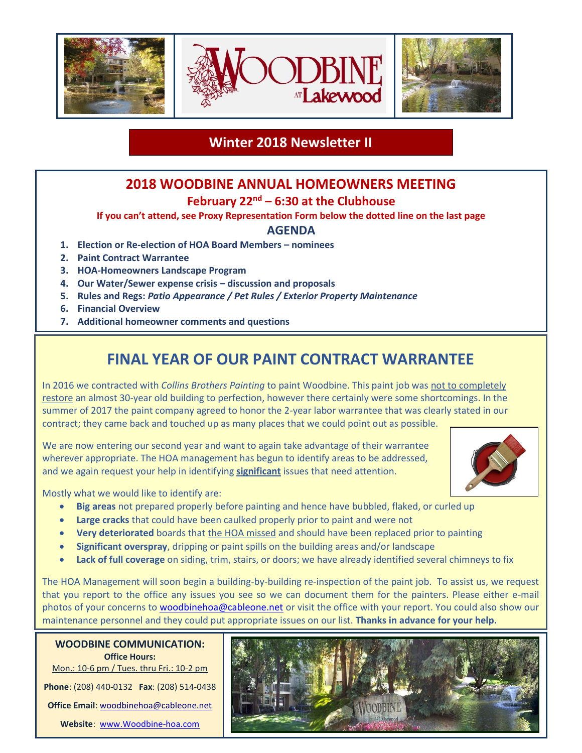

## **Winter 2018 Newsletter II**

## **2018 WOODBINE ANNUAL HOMEOWNERS MEETING**

### **February 22nd – 6:30 at the Clubhouse**

#### **If you can't attend, see Proxy Representation Form below the dotted line on the last page**

#### **AGENDA**

- **1. Election or Re-election of HOA Board Members – nominees**
- **2. Paint Contract Warrantee**
- **3. HOA-Homeowners Landscape Program**
- **4. Our Water/Sewer expense crisis – discussion and proposals**
- **5. Rules and Regs:** *Patio Appearance / Pet Rules / Exterior Property Maintenance*
- **6. Financial Overview**
- **7. Additional homeowner comments and questions**

# **FINAL YEAR OF OUR PAINT CONTRACT WARRANTEE**

In 2016 we contracted with *Collins Brothers Painting* to paint Woodbine. This paint job was not to completely restore an almost 30-year old building to perfection, however there certainly were some shortcomings. In the summer of 2017 the paint company agreed to honor the 2-year labor warrantee that was clearly stated in our contract; they came back and touched up as many places that we could point out as possible.

We are now entering our second year and want to again take advantage of their warrantee wherever appropriate. The HOA management has begun to identify areas to be addressed, and we again request your help in identifying **significant** issues that need attention.



Mostly what we would like to identify are:

- **Big areas** not prepared properly before painting and hence have bubbled, flaked, or curled up
- **Large cracks** that could have been caulked properly prior to paint and were not
- **Very deteriorated** boards that the HOA missed and should have been replaced prior to painting
- **Significant overspray**, dripping or paint spills on the building areas and/or landscape
- Lack of full coverage on siding, trim, stairs, or doors; we have already identified several chimneys to fix

The HOA Management will soon begin a building-by-building re-inspection of the paint job. To assist us, we request that you report to the office any issues you see so we can document them for the painters. Please either e-mail photos of your concerns to [woodbinehoa@cableone.net](mailto:woodbinehoa@cableone.net) or visit the office with your report. You could also show our maintenance personnel and they could put appropriate issues on our list. **Thanks in advance for your help.**

**WOODBINE COMMUNICATION: Office Hours:**

Mon.: 10-6 pm / Tues. thru Fri.: 10-2 pm

**Phone**: (208) 440-0132 **Fax**: (208) 514-0438

Office Email: [woodbinehoa@cableone.net](mailto:woodbinehoa@cableone.net)

**Website**: [www.Woodbine-hoa.com](http://www.woodbine-hoa.com/)

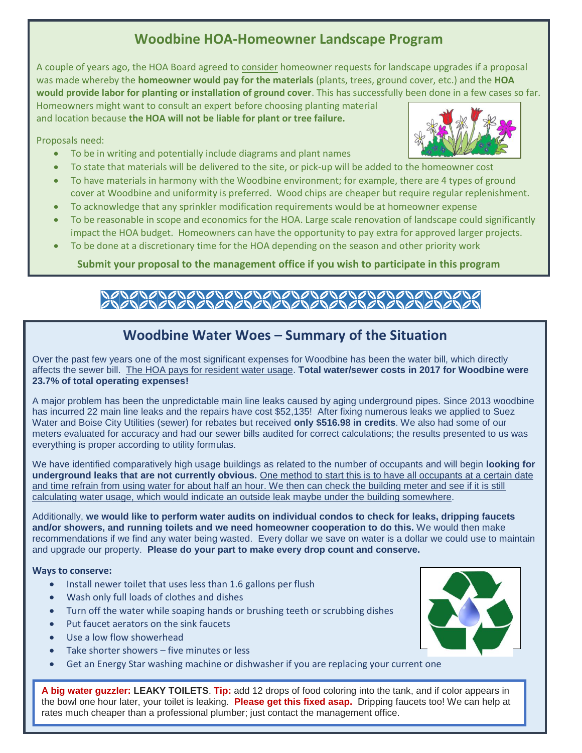## **Woodbine HOA-Homeowner Landscape Program**

A couple of years ago, the HOA Board agreed to consider homeowner requests for landscape upgrades if a proposal was made whereby the **homeowner would pay for the materials** (plants, trees, ground cover, etc.) and the **HOA would provide labor for planting or installation of ground cover**. This has successfully been done in a few cases so far.

Homeowners might want to consult an expert before choosing planting material and location because **the HOA will not be liable for plant or tree failure.**

Proposals need:

- To be in writing and potentially include diagrams and plant names
- To state that materials will be delivered to the site, or pick-up will be added to the homeowner cost
- To have materials in harmony with the Woodbine environment; for example, there are 4 types of ground cover at Woodbine and uniformity is preferred. Wood chips are cheaper but require regular replenishment.
- To acknowledge that any sprinkler modification requirements would be at homeowner expense
- To be reasonable in scope and economics for the HOA. Large scale renovation of landscape could significantly impact the HOA budget. Homeowners can have the opportunity to pay extra for approved larger projects.
- To be done at a discretionary time for the HOA depending on the season and other priority work

**Submit your proposal to the management office if you wish to participate in this program**

# 1010101010101010

## **Woodbine Water Woes – Summary of the Situation**

Over the past few years one of the most significant expenses for Woodbine has been the water bill, which directly affects the sewer bill. The HOA pays for resident water usage. **Total water/sewer costs in 2017 for Woodbine were 23.7% of total operating expenses!**

A major problem has been the unpredictable main line leaks caused by aging underground pipes. Since 2013 woodbine has incurred 22 main line leaks and the repairs have cost \$52,135! After fixing numerous leaks we applied to Suez Water and Boise City Utilities (sewer) for rebates but received **only \$516.98 in credits**. We also had some of our meters evaluated for accuracy and had our sewer bills audited for correct calculations; the results presented to us was everything is proper according to utility formulas.

We have identified comparatively high usage buildings as related to the number of occupants and will begin **looking for underground leaks that are not currently obvious.** One method to start this is to have all occupants at a certain date and time refrain from using water for about half an hour. We then can check the building meter and see if it is still calculating water usage, which would indicate an outside leak maybe under the building somewhere.

Additionally, **we would like to perform water audits on individual condos to check for leaks, dripping faucets and/or showers, and running toilets and we need homeowner cooperation to do this.** We would then make recommendations if we find any water being wasted. Every dollar we save on water is a dollar we could use to maintain and upgrade our property. **Please do your part to make every drop count and conserve.** 

**Ways to conserve:**

- Install newer toilet that uses less than 1.6 gallons per flush
- Wash only full loads of clothes and dishes
- Turn off the water while soaping hands or brushing teeth or scrubbing dishes
- Put faucet aerators on the sink faucets
- Use a low flow showerhead
- Take shorter showers five minutes or less
- Get an Energy Star washing machine or dishwasher if you are replacing your current one

**A big water guzzler: LEAKY TOILETS**. **Tip:** add 12 drops of food coloring into the tank, and if color appears in the bowl one hour later, your toilet is leaking. **Please get this fixed asap.** Dripping faucets too! We can help at rates much cheaper than a professional plumber; just contact the management office.



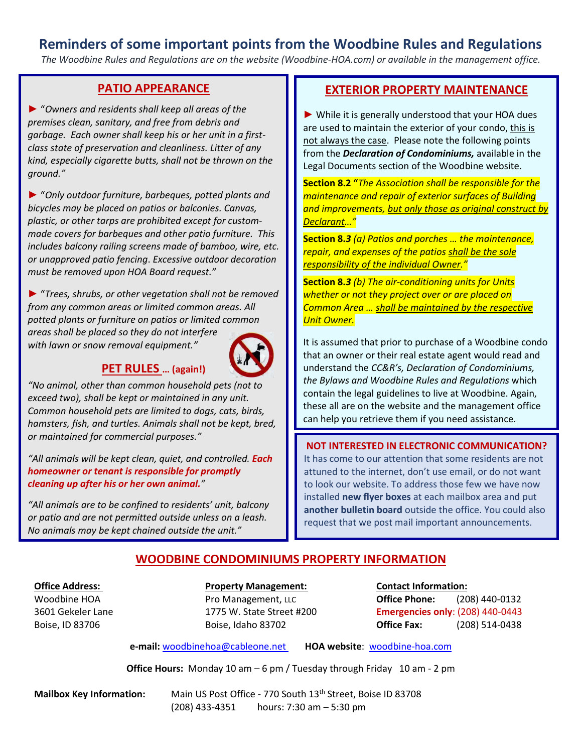## **Reminders of some important points from the Woodbine Rules and Regulations**

*The Woodbine Rules and Regulations are on the website (Woodbine-HOA.com) or available in the management office.*

#### **PATIO APPEARANCE**

► "*Owners and residents shall keep all areas of the premises clean, sanitary, and free from debris and garbage. Each owner shall keep his or her unit in a firstclass state of preservation and cleanliness. Litter of any kind, especially cigarette butts, shall not be thrown on the ground."*

► "*Only outdoor furniture, barbeques, potted plants and bicycles may be placed on patios or balconies. Canvas, plastic, or other tarps are prohibited except for custommade covers for barbeques and other patio furniture. This includes balcony railing screens made of bamboo, wire, etc. or unapproved patio fencing*. *Excessive outdoor decoration must be removed upon HOA Board request."*

► "*Trees, shrubs, or other vegetation shall not be removed from any common areas or limited common areas. All potted plants or furniture on patios or limited common areas shall be placed so they do not interfere* 

*with lawn or snow removal equipment."*

#### **PET RULES … (again!)**

*"No animal, other than common household pets (not to exceed two), shall be kept or maintained in any unit. Common household pets are limited to dogs, cats, birds, hamsters, fish, and turtles. Animals shall not be kept, bred, or maintained for commercial purposes."*

*"All animals will be kept clean, quiet, and controlled. Each homeowner or tenant is responsible for promptly cleaning up after his or her own animal."*

*"All animals are to be confined to residents' unit, balcony or patio and are not permitted outside unless on a leash. No animals may be kept chained outside the unit."*

#### **EXTERIOR PROPERTY MAINTENANCE**

► While it is generally understood that your HOA dues are used to maintain the exterior of your condo, this is not always the case. Please note the following points from the *Declaration of Condominiums,* available in the Legal Documents section of the Woodbine website.

**Section 8.2 "***The Association shall be responsible for the maintenance and repair of exterior surfaces of Building and improvements, but only those as original construct by Declarant…"*

**Section 8.***3 (a) Patios and porches … the maintenance, repair, and expenses of the patios shall be the sole responsibility of the individual Owner."*

**Section 8.***3 (b) The air-conditioning units for Units whether or not they project over or are placed on Common Area … shall be maintained by the respective Unit Owner.*

It is assumed that prior to purchase of a Woodbine condo that an owner or their real estate agent would read and understand the *CC&R's, Declaration of Condominiums, the Bylaws and Woodbine Rules and Regulations* which contain the legal guidelines to live at Woodbine. Again, these all are on the website and the management office can help you retrieve them if you need assistance.

#### **NOT INTERESTED IN ELECTRONIC COMMUNICATION?**

It has come to our attention that some residents are not attuned to the internet, don't use email, or do not want to look our website. To address those few we have now installed **new flyer boxes** at each mailbox area and put **another bulletin board** outside the office. You could also request that we post mail important announcements.

#### **WOODBINE CONDOMINIUMS PROPERTY INFORMATION**

#### **Office Address: Property Management: Contact Information:**

Woodbine HOA Pro Management, LLC **Office Phone:** (208) 440-0132 3601 Gekeler Lane 1775 W. State Street #200 **Emergencies only**: (208) 440-0443 Boise, ID 83706 Boise, Idaho 83702 **Office Fax:** (208) 514-0438

**e-mail:** [woodbinehoa@cableone.net](mailto:woodbine@cableone.net) **HOA website**: woodbine-hoa.com

**Office Hours:** Monday 10 am – 6 pm / Tuesday through Friday 10 am - 2 pm

**Mailbox Key Information:** Main US Post Office - 770 South 13<sup>th</sup> Street, Boise ID 83708 (208) 433-4351 hours: 7:30 am – 5:30 pm